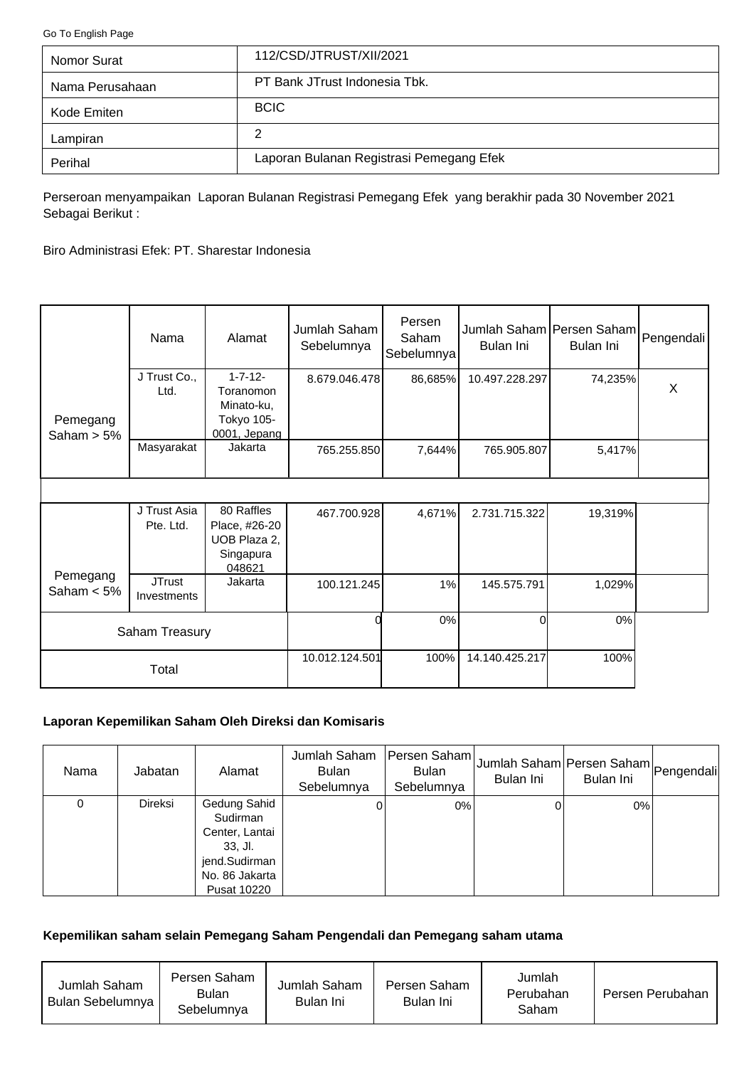<span id="page-0-0"></span>[Go To English Page](#page-2-0)

| Nomor Surat     | 112/CSD/JTRUST/XII/2021                  |
|-----------------|------------------------------------------|
| Nama Perusahaan | PT Bank JTrust Indonesia Tbk.            |
| Kode Emiten     | <b>BCIC</b>                              |
| Lampiran        | 2                                        |
| Perihal         | Laporan Bulanan Registrasi Pemegang Efek |

Perseroan menyampaikan Laporan Bulanan Registrasi Pemegang Efek yang berakhir pada 30 November 2021 Sebagai Berikut :

Biro Administrasi Efek: PT. Sharestar Indonesia

|                           | Nama                         | Alamat                                                                  | Jumlah Saham<br>Sebelumnya | Persen<br>Saham<br>Sebelumnya | Jumlah Saham Persen Saham Pengendali<br>Bulan Ini | Bulan Ini |   |
|---------------------------|------------------------------|-------------------------------------------------------------------------|----------------------------|-------------------------------|---------------------------------------------------|-----------|---|
| Pemegang<br>Saham $> 5\%$ | J Trust Co.,<br>Ltd.         | $1 - 7 - 12 -$<br>Toranomon<br>Minato-ku,<br>Tokyo 105-<br>0001, Jepang | 8.679.046.478              | 86,685%                       | 10.497.228.297                                    | 74,235%   | X |
|                           | Masyarakat                   | Jakarta                                                                 | 765.255.850                | 7,644%                        | 765.905.807                                       | 5,417%    |   |
|                           |                              |                                                                         |                            |                               |                                                   |           |   |
|                           | J Trust Asia<br>Pte. Ltd.    | 80 Raffles<br>Place, #26-20<br>UOB Plaza 2,<br>Singapura<br>048621      | 467.700.928                | 4,671%                        | 2.731.715.322                                     | 19,319%   |   |
| Pemegang<br>Saham $< 5\%$ | <b>JTrust</b><br>Investments | Jakarta                                                                 | 100.121.245                | 1%                            | 145.575.791                                       | 1,029%    |   |
| Saham Treasury            |                              |                                                                         | 0%                         | Οl                            | 0%                                                |           |   |
|                           | Total                        |                                                                         | 10.012.124.501             | 100%                          | 14.140.425.217                                    | 100%      |   |

# **Laporan Kepemilikan Saham Oleh Direksi dan Komisaris**

| Nama | Jabatan        | Alamat                                                                                                    | Jumlah Saham<br><b>Bulan</b><br>Sebelumnya | Persen Saham<br><b>Bulan</b><br>Sebelumnya | Jumlah Saham Persen Saham Pengendali<br>Bulan Ini | Bulan Ini |  |
|------|----------------|-----------------------------------------------------------------------------------------------------------|--------------------------------------------|--------------------------------------------|---------------------------------------------------|-----------|--|
| 0    | <b>Direksi</b> | Gedung Sahid<br>Sudirman<br>Center, Lantai<br>$33.$ Jl.<br>jend.Sudirman<br>No. 86 Jakarta<br>Pusat 10220 |                                            | 0%                                         |                                                   | $0\%$     |  |

#### **Kepemilikan saham selain Pemegang Saham Pengendali dan Pemegang saham utama**

| Jumlah Saham<br>Bulan Sebelumnya | Persen Saham<br>Bulan<br>Sebelumnya | Jumlah Saham<br>Bulan Ini | Persen Saham<br>Bulan Ini | Jumlah<br>Perubahan<br>Saham | Persen Perubahan |
|----------------------------------|-------------------------------------|---------------------------|---------------------------|------------------------------|------------------|
|----------------------------------|-------------------------------------|---------------------------|---------------------------|------------------------------|------------------|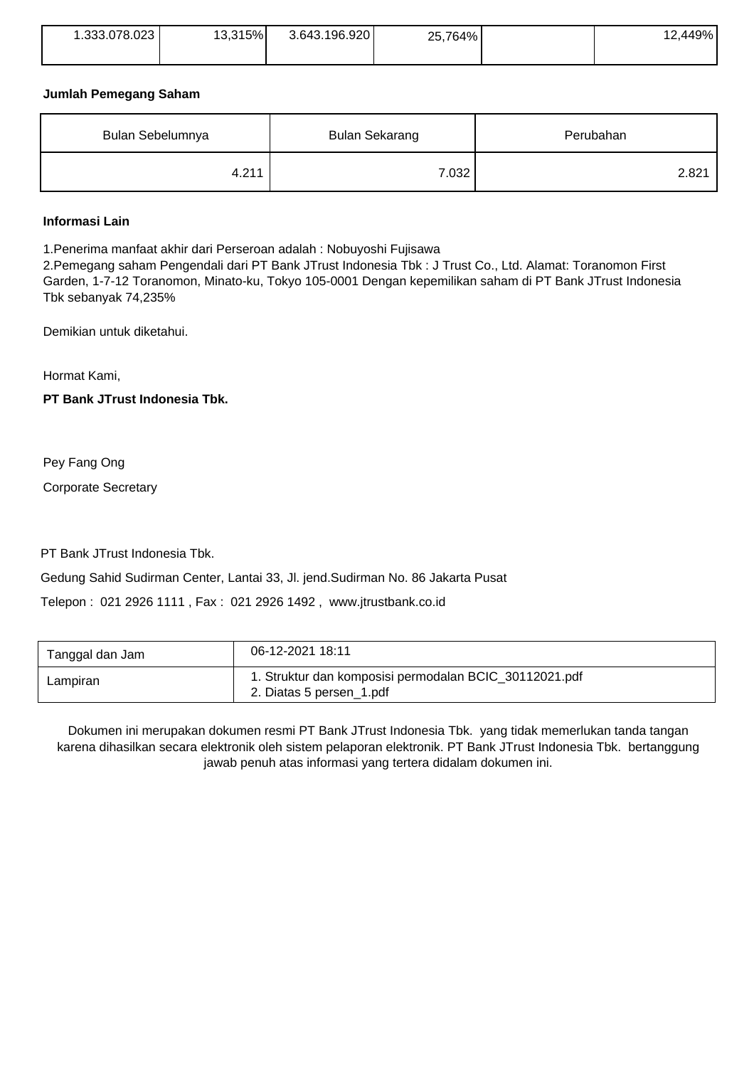| 1.333.078.023 | 13,315% | 3.643.196.920 | 25,764% | 12,449% |
|---------------|---------|---------------|---------|---------|
|               |         |               |         |         |

### **Jumlah Pemegang Saham**

| Bulan Sebelumnya | <b>Bulan Sekarang</b> | Perubahan |  |
|------------------|-----------------------|-----------|--|
| 4.211            | 7.032 <sub>1</sub>    | 2.821     |  |

### **Informasi Lain**

1.Penerima manfaat akhir dari Perseroan adalah : Nobuyoshi Fujisawa

2.Pemegang saham Pengendali dari PT Bank JTrust Indonesia Tbk : J Trust Co., Ltd. Alamat: Toranomon First Garden, 1-7-12 Toranomon, Minato-ku, Tokyo 105-0001 Dengan kepemilikan saham di PT Bank JTrust Indonesia Tbk sebanyak 74,235%

Demikian untuk diketahui.

Hormat Kami,

**PT Bank JTrust Indonesia Tbk.**

Pey Fang Ong

Corporate Secretary

PT Bank JTrust Indonesia Tbk.

Gedung Sahid Sudirman Center, Lantai 33, Jl. jend.Sudirman No. 86 Jakarta Pusat

Telepon : 021 2926 1111 , Fax : 021 2926 1492 , www.jtrustbank.co.id

| Tanggal dan Jam | 06-12-2021 18:11                                                                   |
|-----------------|------------------------------------------------------------------------------------|
| Lampiran        | 1. Struktur dan komposisi permodalan BCIC_30112021.pdf<br>2. Diatas 5 persen_1.pdf |

Dokumen ini merupakan dokumen resmi PT Bank JTrust Indonesia Tbk. yang tidak memerlukan tanda tangan karena dihasilkan secara elektronik oleh sistem pelaporan elektronik. PT Bank JTrust Indonesia Tbk. bertanggung jawab penuh atas informasi yang tertera didalam dokumen ini.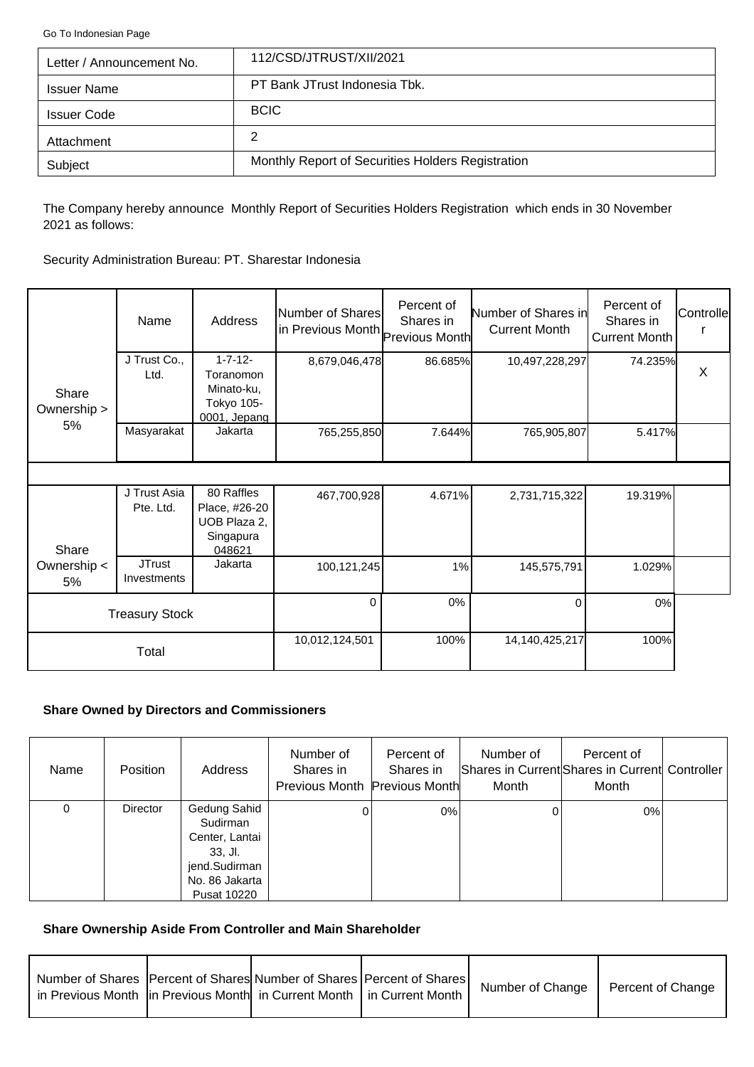<span id="page-2-0"></span>[Go To Indonesian Page](#page-0-0)

| Letter / Announcement No. | 112/CSD/JTRUST/XII/2021                           |
|---------------------------|---------------------------------------------------|
| <b>Issuer Name</b>        | PT Bank JTrust Indonesia Tbk.                     |
| <b>Issuer Code</b>        | <b>BCIC</b>                                       |
| Attachment                | 2                                                 |
| Subject                   | Monthly Report of Securities Holders Registration |

The Company hereby announce Monthly Report of Securities Holders Registration which ends in 30 November 2021 as follows:

Security Administration Bureau: PT. Sharestar Indonesia

|                      | Name                         | Address                                                                 | Number of Shares<br>in Previous Month Previous Month | Percent of<br>Shares in | Number of Shares in<br><b>Current Month</b> | Percent of<br>Shares in<br>Current Month | Controlle |
|----------------------|------------------------------|-------------------------------------------------------------------------|------------------------------------------------------|-------------------------|---------------------------------------------|------------------------------------------|-----------|
| Share<br>Ownership > | J Trust Co.,<br>Ltd.         | $1 - 7 - 12 -$<br>Toranomon<br>Minato-ku,<br>Tokyo 105-<br>0001, Jepang | 8,679,046,478                                        | 86.685%                 | 10,497,228,297                              | 74.235%                                  | $\times$  |
| 5%                   | Masyarakat                   | Jakarta                                                                 | 765,255,850                                          | 7.644%                  | 765,905,807                                 | 5.417%                                   |           |
|                      |                              |                                                                         |                                                      |                         |                                             |                                          |           |
| Share                | J Trust Asia<br>Pte. Ltd.    | 80 Raffles<br>Place, #26-20<br>UOB Plaza 2,<br>Singapura<br>048621      | 467,700,928                                          | 4.671%                  | 2,731,715,322                               | 19.319%                                  |           |
| Ownership <<br>5%    | <b>JTrust</b><br>Investments | Jakarta                                                                 | 100,121,245                                          | 1%                      | 145,575,791                                 | 1.029%                                   |           |
|                      | <b>Treasury Stock</b>        |                                                                         | $\Omega$                                             | 0%                      | $\Omega$                                    | 0%                                       |           |
|                      | Total                        |                                                                         | 10,012,124,501                                       | 100%                    | 14,140,425,217                              | 100%                                     |           |

## **Share Owned by Directors and Commissioners**

| Name | <b>Position</b> | Address                                                                                                        | Number of<br>Shares in<br>Previous Month Previous Month | Percent of<br>Shares in | Number of<br>Month | Percent of<br>Shares in Current Shares in Current Controller<br>Month |  |
|------|-----------------|----------------------------------------------------------------------------------------------------------------|---------------------------------------------------------|-------------------------|--------------------|-----------------------------------------------------------------------|--|
| 0    | <b>Director</b> | Gedung Sahid<br>Sudirman<br>Center, Lantai<br>33, Jl.<br>jend.Sudirman<br>No. 86 Jakarta<br><b>Pusat 10220</b> |                                                         | 0%                      |                    | 0%                                                                    |  |

## **Share Ownership Aside From Controller and Main Shareholder**

| Number of Shares   Percent of Shares  Number of Shares   Percent of Shares  <br>in Previous Month  in Previous Month  in Current Month   in Current Month |  | Number of Change | Percent of Change |
|-----------------------------------------------------------------------------------------------------------------------------------------------------------|--|------------------|-------------------|
|                                                                                                                                                           |  |                  |                   |